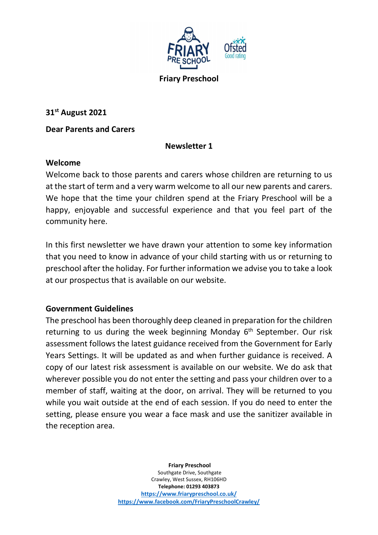

31st August 2021

#### Dear Parents and Carers

# Newsletter 1

#### Welcome

Welcome back to those parents and carers whose children are returning to us at the start of term and a very warm welcome to all our new parents and carers. We hope that the time your children spend at the Friary Preschool will be a happy, enjoyable and successful experience and that you feel part of the community here.

In this first newsletter we have drawn your attention to some key information that you need to know in advance of your child starting with us or returning to preschool after the holiday. For further information we advise you to take a look at our prospectus that is available on our website.

#### Government Guidelines

The preschool has been thoroughly deep cleaned in preparation for the children returning to us during the week beginning Monday 6<sup>th</sup> September. Our risk assessment follows the latest guidance received from the Government for Early Years Settings. It will be updated as and when further guidance is received. A copy of our latest risk assessment is available on our website. We do ask that wherever possible you do not enter the setting and pass your children over to a member of staff, waiting at the door, on arrival. They will be returned to you while you wait outside at the end of each session. If you do need to enter the setting, please ensure you wear a face mask and use the sanitizer available in the reception area.

#### Friary Preschool

Southgate Drive, Southgate Crawley, West Sussex, RH106HD Telephone: 01293 403873 https://www.friarypreschool.co.uk/ https://www.facebook.com/FriaryPreschoolCrawley/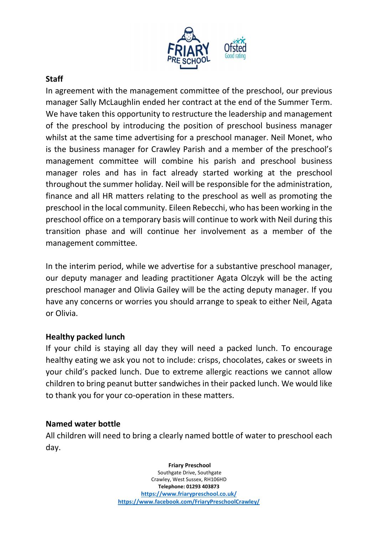

#### **Staff**

In agreement with the management committee of the preschool, our previous manager Sally McLaughlin ended her contract at the end of the Summer Term. We have taken this opportunity to restructure the leadership and management of the preschool by introducing the position of preschool business manager whilst at the same time advertising for a preschool manager. Neil Monet, who is the business manager for Crawley Parish and a member of the preschool's management committee will combine his parish and preschool business manager roles and has in fact already started working at the preschool throughout the summer holiday. Neil will be responsible for the administration, finance and all HR matters relating to the preschool as well as promoting the preschool in the local community. Eileen Rebecchi, who has been working in the preschool office on a temporary basis will continue to work with Neil during this transition phase and will continue her involvement as a member of the management committee.

In the interim period, while we advertise for a substantive preschool manager, our deputy manager and leading practitioner Agata Olczyk will be the acting preschool manager and Olivia Gailey will be the acting deputy manager. If you have any concerns or worries you should arrange to speak to either Neil, Agata or Olivia.

# Healthy packed lunch

If your child is staying all day they will need a packed lunch. To encourage healthy eating we ask you not to include: crisps, chocolates, cakes or sweets in your child's packed lunch. Due to extreme allergic reactions we cannot allow children to bring peanut butter sandwiches in their packed lunch. We would like to thank you for your co-operation in these matters.

#### Named water bottle

All children will need to bring a clearly named bottle of water to preschool each day.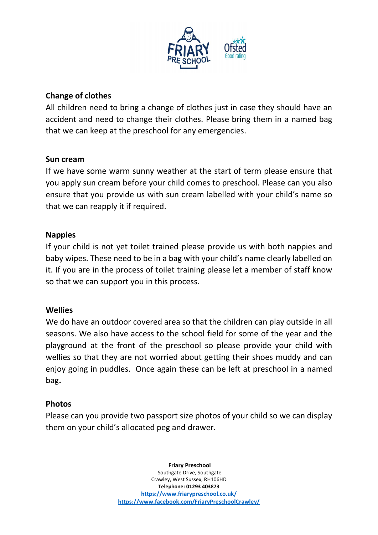

# Change of clothes

All children need to bring a change of clothes just in case they should have an accident and need to change their clothes. Please bring them in a named bag that we can keep at the preschool for any emergencies.

#### Sun cream

If we have some warm sunny weather at the start of term please ensure that you apply sun cream before your child comes to preschool. Please can you also ensure that you provide us with sun cream labelled with your child's name so that we can reapply it if required.

#### Nappies

If your child is not yet toilet trained please provide us with both nappies and baby wipes. These need to be in a bag with your child's name clearly labelled on it. If you are in the process of toilet training please let a member of staff know so that we can support you in this process.

# **Wellies**

We do have an outdoor covered area so that the children can play outside in all seasons. We also have access to the school field for some of the year and the playground at the front of the preschool so please provide your child with wellies so that they are not worried about getting their shoes muddy and can enjoy going in puddles. Once again these can be left at preschool in a named bag.

# Photos

Please can you provide two passport size photos of your child so we can display them on your child's allocated peg and drawer.

#### Friary Preschool

Southgate Drive, Southgate Crawley, West Sussex, RH106HD Telephone: 01293 403873 https://www.friarypreschool.co.uk/ https://www.facebook.com/FriaryPreschoolCrawley/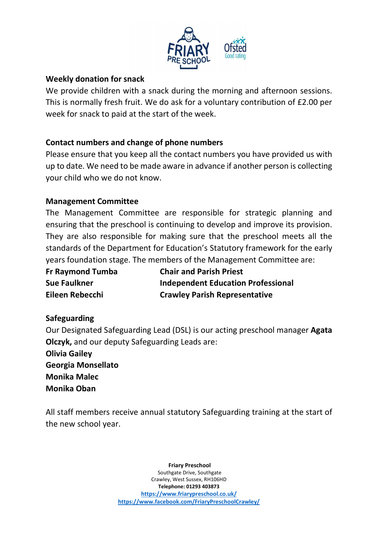

#### Weekly donation for snack

We provide children with a snack during the morning and afternoon sessions. This is normally fresh fruit. We do ask for a voluntary contribution of £2.00 per week for snack to paid at the start of the week.

# Contact numbers and change of phone numbers

Please ensure that you keep all the contact numbers you have provided us with up to date. We need to be made aware in advance if another person is collecting your child who we do not know.

# Management Committee

The Management Committee are responsible for strategic planning and ensuring that the preschool is continuing to develop and improve its provision. They are also responsible for making sure that the preschool meets all the standards of the Department for Education's Statutory framework for the early years foundation stage. The members of the Management Committee are:

| <b>Fr Raymond Tumba</b> | <b>Chair and Parish Priest</b>            |
|-------------------------|-------------------------------------------|
| <b>Sue Faulkner</b>     | <b>Independent Education Professional</b> |
| Eileen Rebecchi         | <b>Crawley Parish Representative</b>      |

# Safeguarding

Our Designated Safeguarding Lead (DSL) is our acting preschool manager Agata Olczyk, and our deputy Safeguarding Leads are:

Olivia Gailey Georgia Monsellato Monika Malec Monika Oban

All staff members receive annual statutory Safeguarding training at the start of the new school year.

> Friary Preschool Southgate Drive, Southgate Crawley, West Sussex, RH106HD Telephone: 01293 403873 https://www.friarypreschool.co.uk/ https://www.facebook.com/FriaryPreschoolCrawley/